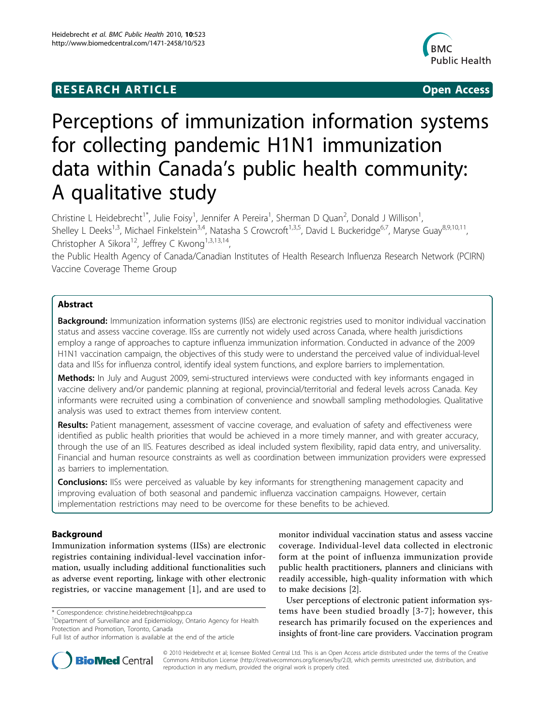## **RESEARCH ARTICLE Example 2018 CONSUMING ACCESS**



# Perceptions of immunization information systems for collecting pandemic H1N1 immunization data within Canada's public health community: A qualitative study

Christine L Heidebrecht<sup>1\*</sup>, Julie Foisy<sup>1</sup>, Jennifer A Pereira<sup>1</sup>, Sherman D Quan<sup>2</sup>, Donald J Willison<sup>1</sup> , Shelley L Deeks<sup>1,3</sup>, Michael Finkelstein<sup>3,4</sup>, Natasha S Crowcroft<sup>1,3,5</sup>, David L Buckeridge<sup>6,7</sup>, Maryse Guay<sup>8,9,10,11</sup>, Christopher A Sikora<sup>12</sup>, Jeffrey C Kwong<sup>1,3,13,14</sup>,

the Public Health Agency of Canada/Canadian Institutes of Health Research Influenza Research Network (PCIRN) Vaccine Coverage Theme Group

## Abstract

**Background:** Immunization information systems (IISs) are electronic registries used to monitor individual vaccination status and assess vaccine coverage. IISs are currently not widely used across Canada, where health jurisdictions employ a range of approaches to capture influenza immunization information. Conducted in advance of the 2009 H1N1 vaccination campaign, the objectives of this study were to understand the perceived value of individual-level data and IISs for influenza control, identify ideal system functions, and explore barriers to implementation.

Methods: In July and August 2009, semi-structured interviews were conducted with key informants engaged in vaccine delivery and/or pandemic planning at regional, provincial/territorial and federal levels across Canada. Key informants were recruited using a combination of convenience and snowball sampling methodologies. Qualitative analysis was used to extract themes from interview content.

Results: Patient management, assessment of vaccine coverage, and evaluation of safety and effectiveness were identified as public health priorities that would be achieved in a more timely manner, and with greater accuracy, through the use of an IIS. Features described as ideal included system flexibility, rapid data entry, and universality. Financial and human resource constraints as well as coordination between immunization providers were expressed as barriers to implementation.

**Conclusions:** IISs were perceived as valuable by key informants for strengthening management capacity and improving evaluation of both seasonal and pandemic influenza vaccination campaigns. However, certain implementation restrictions may need to be overcome for these benefits to be achieved.

## Background

Immunization information systems (IISs) are electronic registries containing individual-level vaccination information, usually including additional functionalities such as adverse event reporting, linkage with other electronic registries, or vaccine management [\[1\]](#page-7-0), and are used to

\* Correspondence: [christine.heidebrecht@oahpp.ca](mailto:christine.heidebrecht@oahpp.ca)

<sup>1</sup>Department of Surveillance and Epidemiology, Ontario Agency for Health Protection and Promotion, Toronto, Canada



User perceptions of electronic patient information systems have been studied broadly [[3-7](#page-7-0)]; however, this research has primarily focused on the experiences and insights of front-line care providers. Vaccination program



© 2010 Heidebrecht et al; licensee BioMed Central Ltd. This is an Open Access article distributed under the terms of the Creative Commons Attribution License [\(http://creativecommons.org/licenses/by/2.0](http://creativecommons.org/licenses/by/2.0)), which permits unrestricted use, distribution, and reproduction in any medium, provided the original work is properly cited.

Full list of author information is available at the end of the article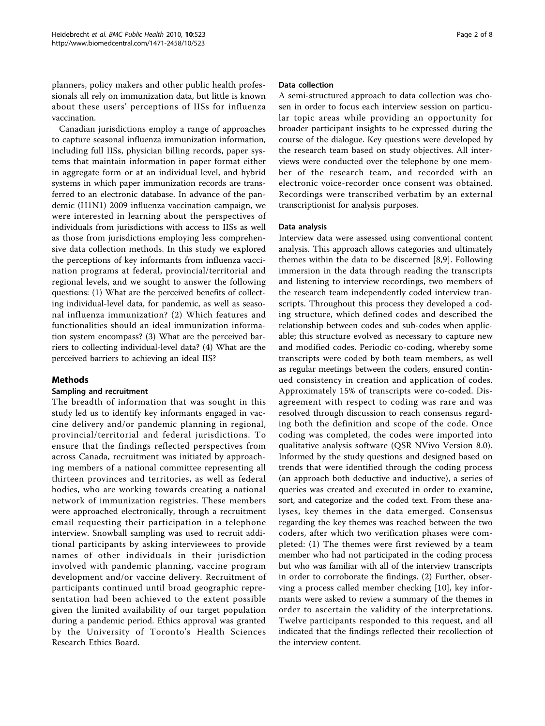planners, policy makers and other public health professionals all rely on immunization data, but little is known about these users' perceptions of IISs for influenza vaccination.

Canadian jurisdictions employ a range of approaches to capture seasonal influenza immunization information, including full IISs, physician billing records, paper systems that maintain information in paper format either in aggregate form or at an individual level, and hybrid systems in which paper immunization records are transferred to an electronic database. In advance of the pandemic (H1N1) 2009 influenza vaccination campaign, we were interested in learning about the perspectives of individuals from jurisdictions with access to IISs as well as those from jurisdictions employing less comprehensive data collection methods. In this study we explored the perceptions of key informants from influenza vaccination programs at federal, provincial/territorial and regional levels, and we sought to answer the following questions: (1) What are the perceived benefits of collecting individual-level data, for pandemic, as well as seasonal influenza immunization? (2) Which features and functionalities should an ideal immunization information system encompass? (3) What are the perceived barriers to collecting individual-level data? (4) What are the perceived barriers to achieving an ideal IIS?

## Methods

## Sampling and recruitment

The breadth of information that was sought in this study led us to identify key informants engaged in vaccine delivery and/or pandemic planning in regional, provincial/territorial and federal jurisdictions. To ensure that the findings reflected perspectives from across Canada, recruitment was initiated by approaching members of a national committee representing all thirteen provinces and territories, as well as federal bodies, who are working towards creating a national network of immunization registries. These members were approached electronically, through a recruitment email requesting their participation in a telephone interview. Snowball sampling was used to recruit additional participants by asking interviewees to provide names of other individuals in their jurisdiction involved with pandemic planning, vaccine program development and/or vaccine delivery. Recruitment of participants continued until broad geographic representation had been achieved to the extent possible given the limited availability of our target population during a pandemic period. Ethics approval was granted by the University of Toronto's Health Sciences Research Ethics Board.

#### Data collection

A semi-structured approach to data collection was chosen in order to focus each interview session on particular topic areas while providing an opportunity for broader participant insights to be expressed during the course of the dialogue. Key questions were developed by the research team based on study objectives. All interviews were conducted over the telephone by one member of the research team, and recorded with an electronic voice-recorder once consent was obtained. Recordings were transcribed verbatim by an external transcriptionist for analysis purposes.

## Data analysis

Interview data were assessed using conventional content analysis. This approach allows categories and ultimately themes within the data to be discerned [[8,9\]](#page-7-0). Following immersion in the data through reading the transcripts and listening to interview recordings, two members of the research team independently coded interview transcripts. Throughout this process they developed a coding structure, which defined codes and described the relationship between codes and sub-codes when applicable; this structure evolved as necessary to capture new and modified codes. Periodic co-coding, whereby some transcripts were coded by both team members, as well as regular meetings between the coders, ensured continued consistency in creation and application of codes. Approximately 15% of transcripts were co-coded. Disagreement with respect to coding was rare and was resolved through discussion to reach consensus regarding both the definition and scope of the code. Once coding was completed, the codes were imported into qualitative analysis software (QSR NVivo Version 8.0). Informed by the study questions and designed based on trends that were identified through the coding process (an approach both deductive and inductive), a series of queries was created and executed in order to examine, sort, and categorize and the coded text. From these analyses, key themes in the data emerged. Consensus regarding the key themes was reached between the two coders, after which two verification phases were completed: (1) The themes were first reviewed by a team member who had not participated in the coding process but who was familiar with all of the interview transcripts in order to corroborate the findings. (2) Further, observing a process called member checking [\[10](#page-7-0)], key informants were asked to review a summary of the themes in order to ascertain the validity of the interpretations. Twelve participants responded to this request, and all indicated that the findings reflected their recollection of the interview content.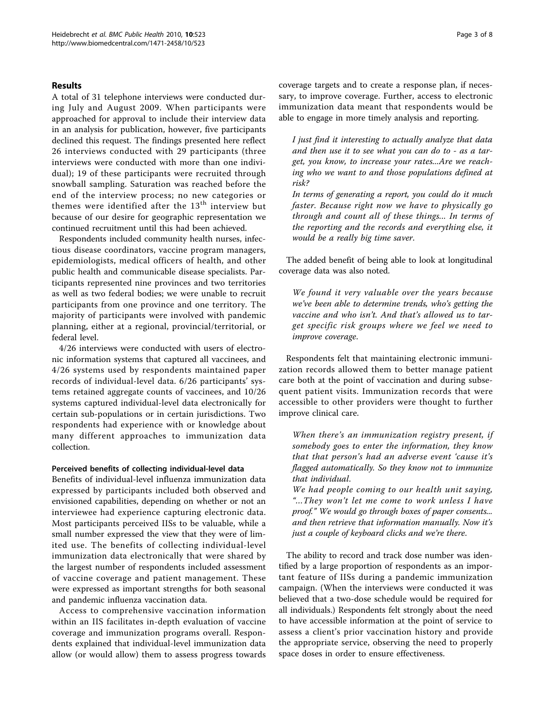#### Results

A total of 31 telephone interviews were conducted during July and August 2009. When participants were approached for approval to include their interview data in an analysis for publication, however, five participants declined this request. The findings presented here reflect 26 interviews conducted with 29 participants (three interviews were conducted with more than one individual); 19 of these participants were recruited through snowball sampling. Saturation was reached before the end of the interview process; no new categories or themes were identified after the  $13<sup>th</sup>$  interview but because of our desire for geographic representation we continued recruitment until this had been achieved.

Respondents included community health nurses, infectious disease coordinators, vaccine program managers, epidemiologists, medical officers of health, and other public health and communicable disease specialists. Participants represented nine provinces and two territories as well as two federal bodies; we were unable to recruit participants from one province and one territory. The majority of participants were involved with pandemic planning, either at a regional, provincial/territorial, or federal level.

4/26 interviews were conducted with users of electronic information systems that captured all vaccinees, and 4/26 systems used by respondents maintained paper records of individual-level data. 6/26 participants' systems retained aggregate counts of vaccinees, and 10/26 systems captured individual-level data electronically for certain sub-populations or in certain jurisdictions. Two respondents had experience with or knowledge about many different approaches to immunization data collection.

#### Perceived benefits of collecting individual-level data

Benefits of individual-level influenza immunization data expressed by participants included both observed and envisioned capabilities, depending on whether or not an interviewee had experience capturing electronic data. Most participants perceived IISs to be valuable, while a small number expressed the view that they were of limited use. The benefits of collecting individual-level immunization data electronically that were shared by the largest number of respondents included assessment of vaccine coverage and patient management. These were expressed as important strengths for both seasonal and pandemic influenza vaccination data.

Access to comprehensive vaccination information within an IIS facilitates in-depth evaluation of vaccine coverage and immunization programs overall. Respondents explained that individual-level immunization data allow (or would allow) them to assess progress towards coverage targets and to create a response plan, if necessary, to improve coverage. Further, access to electronic immunization data meant that respondents would be able to engage in more timely analysis and reporting.

I just find it interesting to actually analyze that data and then use it to see what you can do to - as a target, you know, to increase your rates...Are we reaching who we want to and those populations defined at risk?

In terms of generating a report, you could do it much faster. Because right now we have to physically go through and count all of these things... In terms of the reporting and the records and everything else, it would be a really big time saver.

The added benefit of being able to look at longitudinal coverage data was also noted.

We found it very valuable over the years because we've been able to determine trends, who's getting the vaccine and who isn't. And that's allowed us to target specific risk groups where we feel we need to improve coverage.

Respondents felt that maintaining electronic immunization records allowed them to better manage patient care both at the point of vaccination and during subsequent patient visits. Immunization records that were accessible to other providers were thought to further improve clinical care.

When there's an immunization registry present, if somebody goes to enter the information, they know that that person's had an adverse event 'cause it's flagged automatically. So they know not to immunize that individual.

We had people coming to our health unit saying, "...They won't let me come to work unless I have proof." We would go through boxes of paper consents... and then retrieve that information manually. Now it's just a couple of keyboard clicks and we're there.

The ability to record and track dose number was identified by a large proportion of respondents as an important feature of IISs during a pandemic immunization campaign. (When the interviews were conducted it was believed that a two-dose schedule would be required for all individuals.) Respondents felt strongly about the need to have accessible information at the point of service to assess a client's prior vaccination history and provide the appropriate service, observing the need to properly space doses in order to ensure effectiveness.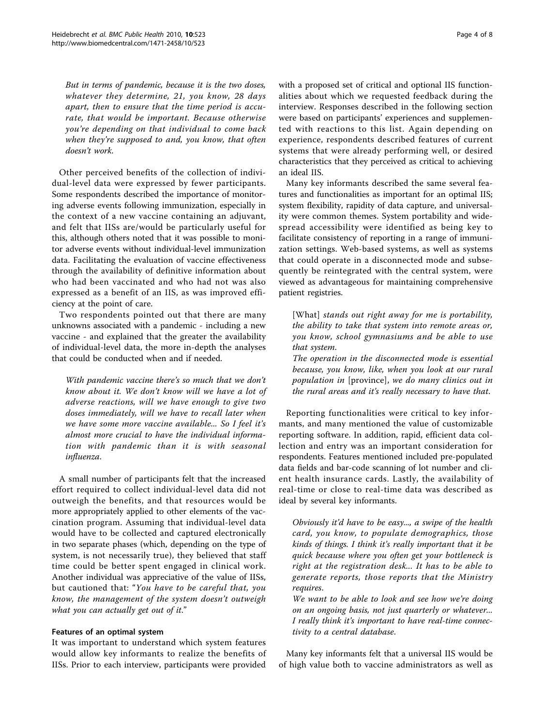But in terms of pandemic, because it is the two doses, whatever they determine, 21, you know, 28 days apart, then to ensure that the time period is accurate, that would be important. Because otherwise you're depending on that individual to come back when they're supposed to and, you know, that often doesn't work.

Other perceived benefits of the collection of individual-level data were expressed by fewer participants. Some respondents described the importance of monitoring adverse events following immunization, especially in the context of a new vaccine containing an adjuvant, and felt that IISs are/would be particularly useful for this, although others noted that it was possible to monitor adverse events without individual-level immunization data. Facilitating the evaluation of vaccine effectiveness through the availability of definitive information about who had been vaccinated and who had not was also expressed as a benefit of an IIS, as was improved efficiency at the point of care.

Two respondents pointed out that there are many unknowns associated with a pandemic - including a new vaccine - and explained that the greater the availability of individual-level data, the more in-depth the analyses that could be conducted when and if needed.

With pandemic vaccine there's so much that we don't know about it. We don't know will we have a lot of adverse reactions, will we have enough to give two doses immediately, will we have to recall later when we have some more vaccine available... So I feel it's almost more crucial to have the individual information with pandemic than it is with seasonal influenza.

A small number of participants felt that the increased effort required to collect individual-level data did not outweigh the benefits, and that resources would be more appropriately applied to other elements of the vaccination program. Assuming that individual-level data would have to be collected and captured electronically in two separate phases (which, depending on the type of system, is not necessarily true), they believed that staff time could be better spent engaged in clinical work. Another individual was appreciative of the value of IISs, but cautioned that: "You have to be careful that, you know, the management of the system doesn't outweigh what you can actually get out of it."

## Features of an optimal system

It was important to understand which system features would allow key informants to realize the benefits of IISs. Prior to each interview, participants were provided

with a proposed set of critical and optional IIS functionalities about which we requested feedback during the interview. Responses described in the following section were based on participants' experiences and supplemented with reactions to this list. Again depending on experience, respondents described features of current systems that were already performing well, or desired characteristics that they perceived as critical to achieving an ideal IIS.

Many key informants described the same several features and functionalities as important for an optimal IIS; system flexibility, rapidity of data capture, and universality were common themes. System portability and widespread accessibility were identified as being key to facilitate consistency of reporting in a range of immunization settings. Web-based systems, as well as systems that could operate in a disconnected mode and subsequently be reintegrated with the central system, were viewed as advantageous for maintaining comprehensive patient registries.

[What] stands out right away for me is portability, the ability to take that system into remote areas or, you know, school gymnasiums and be able to use that system.

The operation in the disconnected mode is essential because, you know, like, when you look at our rural population in [province], we do many clinics out in the rural areas and it's really necessary to have that.

Reporting functionalities were critical to key informants, and many mentioned the value of customizable reporting software. In addition, rapid, efficient data collection and entry was an important consideration for respondents. Features mentioned included pre-populated data fields and bar-code scanning of lot number and client health insurance cards. Lastly, the availability of real-time or close to real-time data was described as ideal by several key informants.

Obviously it'd have to be easy..., a swipe of the health card, you know, to populate demographics, those kinds of things. I think it's really important that it be quick because where you often get your bottleneck is right at the registration desk... It has to be able to generate reports, those reports that the Ministry requires.

We want to be able to look and see how we're doing on an ongoing basis, not just quarterly or whatever... I really think it's important to have real-time connectivity to a central database.

Many key informants felt that a universal IIS would be of high value both to vaccine administrators as well as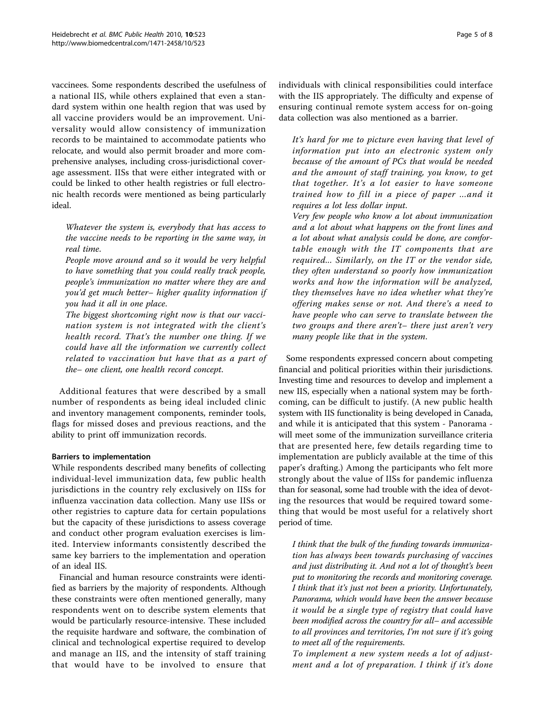vaccinees. Some respondents described the usefulness of a national IIS, while others explained that even a standard system within one health region that was used by all vaccine providers would be an improvement. Universality would allow consistency of immunization records to be maintained to accommodate patients who relocate, and would also permit broader and more comprehensive analyses, including cross-jurisdictional coverage assessment. IISs that were either integrated with or could be linked to other health registries or full electronic health records were mentioned as being particularly ideal.

Whatever the system is, everybody that has access to the vaccine needs to be reporting in the same way, in real time.

People move around and so it would be very helpful to have something that you could really track people, people's immunization no matter where they are and you'd get much better– higher quality information if you had it all in one place.

The biggest shortcoming right now is that our vaccination system is not integrated with the client's health record. That's the number one thing. If we could have all the information we currently collect related to vaccination but have that as a part of the– one client, one health record concept.

Additional features that were described by a small number of respondents as being ideal included clinic and inventory management components, reminder tools, flags for missed doses and previous reactions, and the ability to print off immunization records.

#### Barriers to implementation

While respondents described many benefits of collecting individual-level immunization data, few public health jurisdictions in the country rely exclusively on IISs for influenza vaccination data collection. Many use IISs or other registries to capture data for certain populations but the capacity of these jurisdictions to assess coverage and conduct other program evaluation exercises is limited. Interview informants consistently described the same key barriers to the implementation and operation of an ideal IIS.

Financial and human resource constraints were identified as barriers by the majority of respondents. Although these constraints were often mentioned generally, many respondents went on to describe system elements that would be particularly resource-intensive. These included the requisite hardware and software, the combination of clinical and technological expertise required to develop and manage an IIS, and the intensity of staff training that would have to be involved to ensure that individuals with clinical responsibilities could interface with the IIS appropriately. The difficulty and expense of ensuring continual remote system access for on-going data collection was also mentioned as a barrier.

It's hard for me to picture even having that level of information put into an electronic system only because of the amount of PCs that would be needed and the amount of staff training, you know, to get that together. It's a lot easier to have someone trained how to fill in a piece of paper ...and it requires a lot less dollar input.

Very few people who know a lot about immunization and a lot about what happens on the front lines and a lot about what analysis could be done, are comfortable enough with the IT components that are required... Similarly, on the IT or the vendor side, they often understand so poorly how immunization works and how the information will be analyzed, they themselves have no idea whether what they're offering makes sense or not. And there's a need to have people who can serve to translate between the two groups and there aren't– there just aren't very many people like that in the system.

Some respondents expressed concern about competing financial and political priorities within their jurisdictions. Investing time and resources to develop and implement a new IIS, especially when a national system may be forthcoming, can be difficult to justify. (A new public health system with IIS functionality is being developed in Canada, and while it is anticipated that this system - Panorama will meet some of the immunization surveillance criteria that are presented here, few details regarding time to implementation are publicly available at the time of this paper's drafting.) Among the participants who felt more strongly about the value of IISs for pandemic influenza than for seasonal, some had trouble with the idea of devoting the resources that would be required toward something that would be most useful for a relatively short period of time.

I think that the bulk of the funding towards immunization has always been towards purchasing of vaccines and just distributing it. And not a lot of thought's been put to monitoring the records and monitoring coverage. I think that it's just not been a priority. Unfortunately, Panorama, which would have been the answer because it would be a single type of registry that could have been modified across the country for all– and accessible to all provinces and territories, I'm not sure if it's going to meet all of the requirements.

To implement a new system needs a lot of adjustment and a lot of preparation. I think if it's done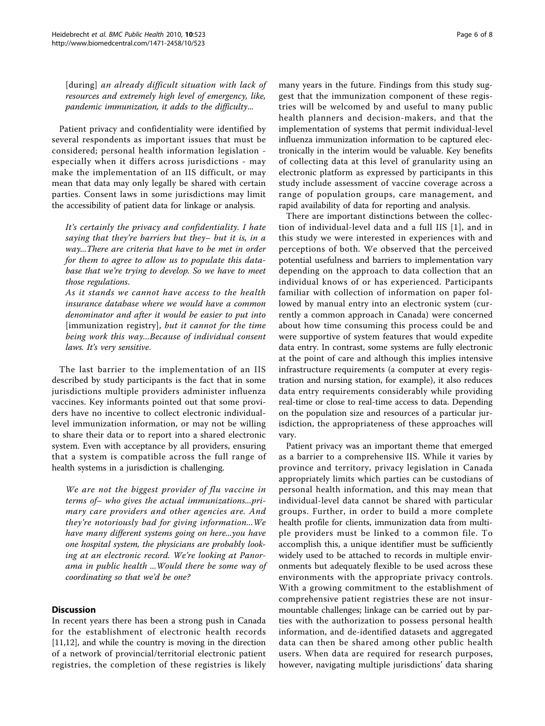[during] an already difficult situation with lack of resources and extremely high level of emergency, like, pandemic immunization, it adds to the difficulty...

Patient privacy and confidentiality were identified by several respondents as important issues that must be considered; personal health information legislation especially when it differs across jurisdictions - may make the implementation of an IIS difficult, or may mean that data may only legally be shared with certain parties. Consent laws in some jurisdictions may limit the accessibility of patient data for linkage or analysis.

It's certainly the privacy and confidentiality. I hate saying that they're barriers but they– but it is, in a way...There are criteria that have to be met in order for them to agree to allow us to populate this database that we're trying to develop. So we have to meet those regulations.

As it stands we cannot have access to the health insurance database where we would have a common denominator and after it would be easier to put into [immunization registry], but it cannot for the time being work this way...Because of individual consent laws. It's very sensitive.

The last barrier to the implementation of an IIS described by study participants is the fact that in some jurisdictions multiple providers administer influenza vaccines. Key informants pointed out that some providers have no incentive to collect electronic individuallevel immunization information, or may not be willing to share their data or to report into a shared electronic system. Even with acceptance by all providers, ensuring that a system is compatible across the full range of health systems in a jurisdiction is challenging.

We are not the biggest provider of flu vaccine in terms of– who gives the actual immunizations...primary care providers and other agencies are. And they're notoriously bad for giving information...We have many different systems going on here...you have one hospital system, the physicians are probably looking at an electronic record. We're looking at Panorama in public health ...Would there be some way of coordinating so that we'd be one?

## **Discussion**

In recent years there has been a strong push in Canada for the establishment of electronic health records [[11,12\]](#page-7-0), and while the country is moving in the direction of a network of provincial/territorial electronic patient registries, the completion of these registries is likely many years in the future. Findings from this study suggest that the immunization component of these registries will be welcomed by and useful to many public health planners and decision-makers, and that the implementation of systems that permit individual-level influenza immunization information to be captured electronically in the interim would be valuable. Key benefits of collecting data at this level of granularity using an electronic platform as expressed by participants in this study include assessment of vaccine coverage across a range of population groups, care management, and rapid availability of data for reporting and analysis.

There are important distinctions between the collection of individual-level data and a full IIS [[1](#page-7-0)], and in this study we were interested in experiences with and perceptions of both. We observed that the perceived potential usefulness and barriers to implementation vary depending on the approach to data collection that an individual knows of or has experienced. Participants familiar with collection of information on paper followed by manual entry into an electronic system (currently a common approach in Canada) were concerned about how time consuming this process could be and were supportive of system features that would expedite data entry. In contrast, some systems are fully electronic at the point of care and although this implies intensive infrastructure requirements (a computer at every registration and nursing station, for example), it also reduces data entry requirements considerably while providing real-time or close to real-time access to data. Depending on the population size and resources of a particular jurisdiction, the appropriateness of these approaches will vary.

Patient privacy was an important theme that emerged as a barrier to a comprehensive IIS. While it varies by province and territory, privacy legislation in Canada appropriately limits which parties can be custodians of personal health information, and this may mean that individual-level data cannot be shared with particular groups. Further, in order to build a more complete health profile for clients, immunization data from multiple providers must be linked to a common file. To accomplish this, a unique identifier must be sufficiently widely used to be attached to records in multiple environments but adequately flexible to be used across these environments with the appropriate privacy controls. With a growing commitment to the establishment of comprehensive patient registries these are not insurmountable challenges; linkage can be carried out by parties with the authorization to possess personal health information, and de-identified datasets and aggregated data can then be shared among other public health users. When data are required for research purposes, however, navigating multiple jurisdictions' data sharing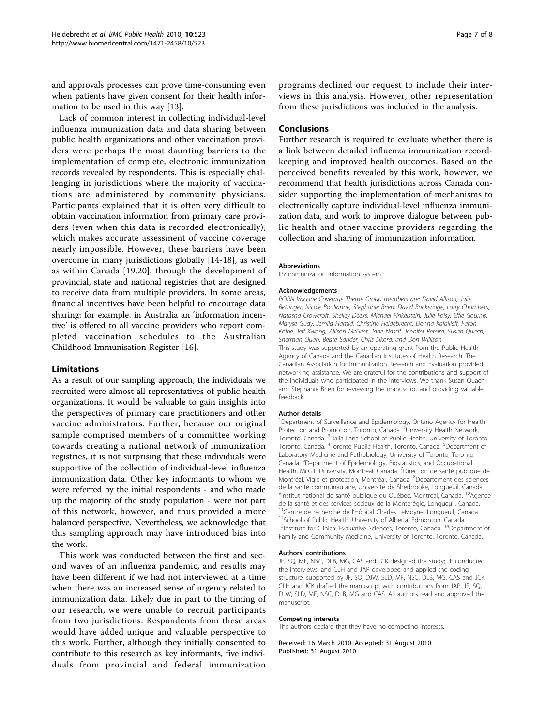and approvals processes can prove time-consuming even when patients have given consent for their health information to be used in this way [[13\]](#page-7-0).

Lack of common interest in collecting individual-level influenza immunization data and data sharing between public health organizations and other vaccination providers were perhaps the most daunting barriers to the implementation of complete, electronic immunization records revealed by respondents. This is especially challenging in jurisdictions where the majority of vaccinations are administered by community physicians. Participants explained that it is often very difficult to obtain vaccination information from primary care providers (even when this data is recorded electronically), which makes accurate assessment of vaccine coverage nearly impossible. However, these barriers have been overcome in many jurisdictions globally [\[14](#page-7-0)-[18\]](#page-7-0), as well as within Canada [[19,20\]](#page-7-0), through the development of provincial, state and national registries that are designed to receive data from multiple providers. In some areas, financial incentives have been helpful to encourage data sharing; for example, in Australia an 'information incentive' is offered to all vaccine providers who report completed vaccination schedules to the Australian Childhood Immunisation Register [[16\]](#page-7-0).

## Limitations

As a result of our sampling approach, the individuals we recruited were almost all representatives of public health organizations. It would be valuable to gain insights into the perspectives of primary care practitioners and other vaccine administrators. Further, because our original sample comprised members of a committee working towards creating a national network of immunization registries, it is not surprising that these individuals were supportive of the collection of individual-level influenza immunization data. Other key informants to whom we were referred by the initial respondents - and who made up the majority of the study population - were not part of this network, however, and thus provided a more balanced perspective. Nevertheless, we acknowledge that this sampling approach may have introduced bias into the work.

This work was conducted between the first and second waves of an influenza pandemic, and results may have been different if we had not interviewed at a time when there was an increased sense of urgency related to immunization data. Likely due in part to the timing of our research, we were unable to recruit participants from two jurisdictions. Respondents from these areas would have added unique and valuable perspective to this work. Further, although they initially consented to contribute to this research as key informants, five individuals from provincial and federal immunization

programs declined our request to include their interviews in this analysis. However, other representation from these jurisdictions was included in the analysis.

#### Conclusions

Further research is required to evaluate whether there is a link between detailed influenza immunization recordkeeping and improved health outcomes. Based on the perceived benefits revealed by this work, however, we recommend that health jurisdictions across Canada consider supporting the implementation of mechanisms to electronically capture individual-level influenza immunization data, and work to improve dialogue between public health and other vaccine providers regarding the collection and sharing of immunization information.

#### Abbreviations

IIS: immunization information system.

#### Acknowledgements

PCIRN Vaccine Coverage Theme Group members are: David Allison, Julie Bettinger, Nicole Boulianne, Stephanie Brien, David Buckeridge, Larry Chambers, Natasha Crowcroft, Shelley Deeks, Michael Finkelstein, Julie Foisy, Effie Gournis, Maryse Guay, Jemila Hamid, Christine Heidebrecht, Donna Kalailieff, Faron Kolbe, Jeff Kwong, Allison McGeer, Jane Nassif, Jennifer Pereira, Susan Quach, Sherman Quan, Beate Sander, Chris Sikora, and Don Willison This study was supported by an operating grant from the Public Health Agency of Canada and the Canadian Institutes of Health Research. The Canadian Association for Immunization Research and Evaluation provided networking assistance. We are grateful for the contributions and support of the individuals who participated in the interviews. We thank Susan Quach and Stephanie Brien for reviewing the manuscript and providing valuable feedback.

#### Author details

<sup>1</sup>Department of Surveillance and Epidemiology, Ontario Agency for Health Protection and Promotion, Toronto, Canada. <sup>2</sup>University Health Network Toronto, Canada. <sup>3</sup>Dalla Lana School of Public Health, University of Toronto Toronto, Canada. <sup>4</sup>Toronto Public Health, Toronto, Canada. <sup>5</sup>Department of Laboratory Medicine and Pathobiology, University of Toronto, Toronto, Canada. <sup>6</sup>Department of Epidemiology, Biostatistics, and Occupational Health, McGill University, Montréal, Canada. <sup>7</sup>Direction de santé publique de Montréal, Vigie et protection, Montréal, Canada. <sup>8</sup>Département des sciences de la santé communautaire, Université de Sherbrooke, Longueuil, Canada. <sup>9</sup>Institut national de santé publique du Québec, Montréal, Canada. <sup>10</sup>Agence de la santé et des services sociaux de la Montérégie, Longueuil, Canada. <sup>11</sup>Centre de recherche de l'Hôpital Charles LeMoyne, Longueuil, Canada.<br><sup>12</sup>School of Public Health, University of Alberta, Edmonton, Canada. <sup>13</sup>Institute for Clinical Evaluative Sciences, Toronto, Canada. <sup>14</sup>Department of Family and Community Medicine, University of Toronto, Toronto, Canada.

#### Authors' contributions

JF, SQ, MF, NSC, DLB, MG, CAS and JCK designed the study; JF conducted the interviews; and CLH and JAP developed and applied the coding structure, supported by JF, SQ, DJW, SLD, MF, NSC, DLB, MG, CAS and JCK. CLH and JCK drafted the manuscript with contributions from JAP, JF, SQ, DJW, SLD, MF, NSC, DLB, MG and CAS. All authors read and approved the manuscript.

#### Competing interests

The authors declare that they have no competing interests.

Received: 16 March 2010 Accepted: 31 August 2010 Published: 31 August 2010